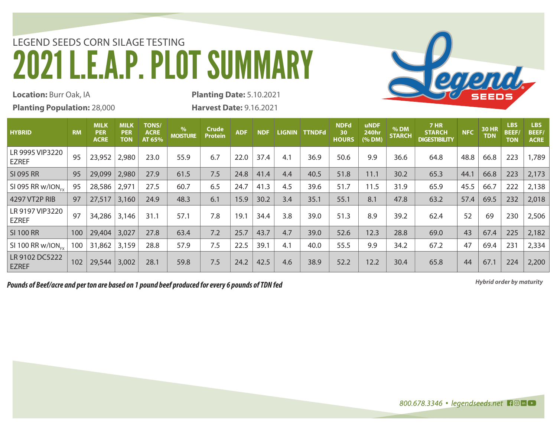## LEGEND SEEDS CORN SILAGE TESTING 2021 L.E.A.P. PLOT SUMMARY



**Location:** Burr Oak, IA

**Planting Population:** 28,000

**Planting Date:** 5.10.2021 **Harvest Date:** 9.16.2021

| <b>HYBRID</b>                   | <b>RM</b> | <b>MILK</b><br><b>PER</b><br><b>ACRE</b> | <b>MILK</b><br><b>PER</b><br><b>TON</b> | <b>TONS/</b><br><b>ACRE</b><br>AT 65% | %<br><b>MOISTURE</b> | Crude<br><b>Protein</b> | <b>ADF</b> | <b>NDF</b> | <b>LIGNIN</b> | <b>TTNDFd</b> | <b>NDFd</b><br>30<br><b>HOURS</b> | <b>uNDF</b><br><b>240hr</b><br>(% DM) | % DM<br><b>STARCH</b> | <b>7 HR</b><br><b>STARCH</b><br><b>DIGESTIBILITY</b> | <b>NFC</b> | <b>30 HR</b><br><b>TDN</b> | <b>LBS</b><br><b>BEEF/</b><br><b>TON</b> | <b>LBS</b><br><b>BEEF/</b><br><b>ACRE</b> |
|---------------------------------|-----------|------------------------------------------|-----------------------------------------|---------------------------------------|----------------------|-------------------------|------------|------------|---------------|---------------|-----------------------------------|---------------------------------------|-----------------------|------------------------------------------------------|------------|----------------------------|------------------------------------------|-------------------------------------------|
| LR 9995 VIP3220<br><b>EZREF</b> | 95        | 23,952                                   | 2,980                                   | 23.0                                  | 55.9                 | 6.7                     | 22.0       | 37.4       | 4.1           | 36.9          | 50.6                              | 9.9                                   | 36.6                  | 64.8                                                 | 48.8       | 66.8                       | 223                                      | 1,789                                     |
| SI 095 RR                       | 95        | 29,099                                   | 2,980                                   | 27.9                                  | 61.5                 | 7.5                     | 24.8       | 41.4       | 4.4           | 40.5          | 51.8                              | 11.1                                  | 30.2                  | 65.3                                                 | 44.1       | 66.8                       | 223                                      | 2,173                                     |
| SI 095 RR w/ION <sub>EV</sub>   | 95        | 28,586                                   | 2,971                                   | 27.5                                  | 60.7                 | 6.5                     | 24.7       | 41.3       | 4.5           | 39.6          | 51.7                              | 11.5                                  | 31.9                  | 65.9                                                 | 45.5       | 66.7                       | 222                                      | 2,138                                     |
| 4297 VT2P RIB                   | 97        | 27,517                                   | 3,160                                   | 24.9                                  | 48.3                 | 6.1                     | 15.9       | 30.2       | 3.4           | 35.1          | 55.1                              | 8.1                                   | 47.8                  | 63.2                                                 | 57.4       | 69.5                       | 232                                      | 2,018                                     |
| LR 9197 VIP3220<br><b>EZREF</b> | 97        | 34,286                                   | 3,146                                   | 31.1                                  | 57.1                 | 7.8                     | 19.1       | 34.4       | 3.8           | 39.0          | 51.3                              | 8.9                                   | 39.2                  | 62.4                                                 | 52         | 69                         | 230                                      | 2,506                                     |
| <b>SI 100 RR</b>                | 100       | 29,404                                   | 3,027                                   | 27.8                                  | 63.4                 | 7.2                     | 25.7       | 43.7       | 4.7           | 39.0          | 52.6                              | 12.3                                  | 28.8                  | 69.0                                                 | 43         | 67.4                       | 225                                      | 2,182                                     |
| SI 100 RR $w/ION_{ev}$          | 100       | 31,862                                   | 3,159                                   | 28.8                                  | 57.9                 | 7.5                     | 22.5       | 39.1       | 4.1           | 40.0          | 55.5                              | 9.9                                   | 34.2                  | 67.2                                                 | 47         | 69.4                       | 231                                      | 2,334                                     |
| LR 9102 DC5222<br><b>EZREF</b>  | 102       | 29,544                                   | 3,002                                   | 28.1                                  | 59.8                 | 7.5                     | 24.2       | 42.5       | 4.6           | 38.9          | 52.2                              | 12.2                                  | 30.4                  | 65.8                                                 | 44         | 67.1                       | 224                                      | 2,200                                     |

*Hybrid order by maturity Pounds of Beef/acre and per ton are based on 1 pound beef produced for every 6 pounds of TDN fed*